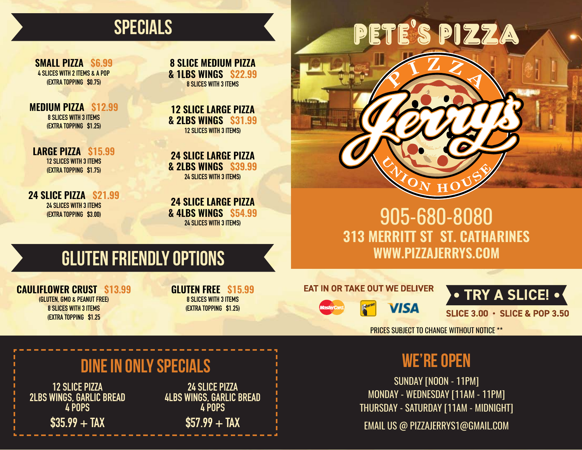### SPECIALS

**SMALL PIZZA \$6.99** 4 SLICES WITH 2 ITEMS & A POP (EXTRA TOPPING \$0.75)

**MEDIUM PIZZA \$12.99** 8 SLICES WITH 3 ITEMS (EXTRA TOPPING \$1.25)

**LARGE PIZZA \$15.99** 12 SLICES WITH 3 ITEMS (EXTRA TOPPING \$1.75)

**24 SLICE PIZZA \$21.99** 24 SLICES WITH 3 ITEMS (EXTRA TOPPING \$3.00)

**8 SLICE MEDIUM PIZZA & 1LBS WINGS \$22.99 8 SLICES WITH 3 ITEMS** 

**12 SLICE LARGE PIZZA & 2LBS WINGS \$31.99** 12 SLICES WITH 3 ITEMS)

**24 SLICE LARGE PIZZA & 2LBS WINGS \$39.99** 24 SLICES WITH 3 ITEMS)

**24 SLICE LARGE PIZZA & 4LBS WINGS \$54.99** 24 SLICES WITH 3 ITEMS)

# PETE'S PIZZA

#### 905-680-8080 **313 MERRITT ST ST. CATHARINES WWW.PIZZAJERRYS.COM**

## GLUTEN FRIENDLY OPTIONS

**CAULIFLOWER CRUST \$13.99**  (GLUTEN, GMO & PEANUT FREE) 8 SLICES WITH 3 ITEMS

(EXTRA TOPPING \$1.25

**GLUTEN FREE \$15.99** 8 SLICES WITH 3 ITEMS (EXTRA TOPPING \$1.25)

#### **EAT IN OR TAKE OUT WE DELIVER**



• TRY A SLICE! • **SLICE 3.00 · SLICE & POP 3.50** 

PRICES SUBJECT TO CHANGE WITHOUT NOTICE \*\*

#### WE'RE OPEN

SUNDAY [NOON - 11PM] MONDAY - WEDNESDAY [11AM - 11PM] THURSDAY - SATURDAY [11AM - MIDNIGHT]

EMAIL US @ PIZZAJERRYS1@GMAIL.COM

#### DINE IN ONLY SPECIALS

12 SLICE PIZZA 2LBS WINGS, GARLIC BREAD 4 POPS  $$35.99 + TAX$ 

24 SLICE PIZZA 4LBS WINGS, GARLIC BREAD 4 POPS  $$57.99 + TAX$